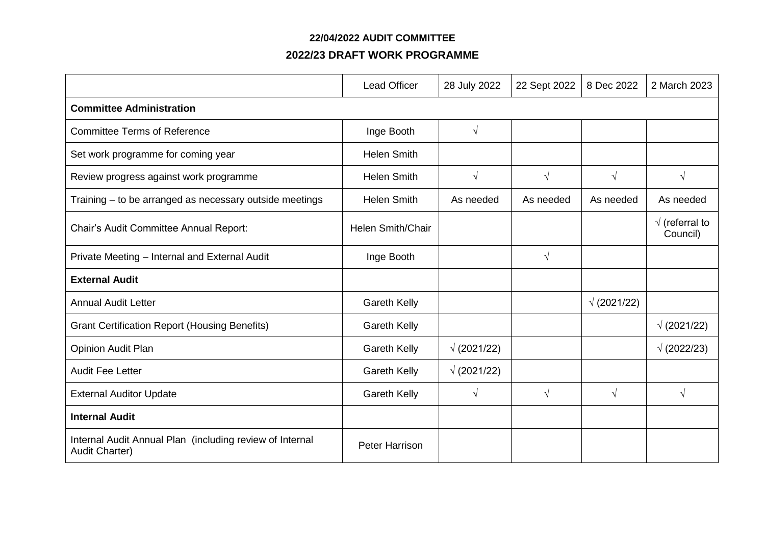### **22/04/2022 AUDIT COMMITTEE**

## **2022/23 DRAFT WORK PROGRAMME**

|                                                                            | <b>Lead Officer</b>      | 28 July 2022       | 22 Sept 2022 | 8 Dec 2022         | 2 March 2023                       |  |  |
|----------------------------------------------------------------------------|--------------------------|--------------------|--------------|--------------------|------------------------------------|--|--|
| <b>Committee Administration</b>                                            |                          |                    |              |                    |                                    |  |  |
| <b>Committee Terms of Reference</b>                                        | Inge Booth               | $\sqrt{}$          |              |                    |                                    |  |  |
| Set work programme for coming year                                         | <b>Helen Smith</b>       |                    |              |                    |                                    |  |  |
| Review progress against work programme                                     | <b>Helen Smith</b>       | $\sqrt{ }$         | $\sqrt{ }$   | $\sqrt{ }$         | $\sqrt{ }$                         |  |  |
| Training - to be arranged as necessary outside meetings                    | <b>Helen Smith</b>       | As needed          | As needed    | As needed          | As needed                          |  |  |
| Chair's Audit Committee Annual Report:                                     | <b>Helen Smith/Chair</b> |                    |              |                    | $\sqrt{}$ (referral to<br>Council) |  |  |
| Private Meeting - Internal and External Audit                              | Inge Booth               |                    | $\sqrt{ }$   |                    |                                    |  |  |
| <b>External Audit</b>                                                      |                          |                    |              |                    |                                    |  |  |
| <b>Annual Audit Letter</b>                                                 | <b>Gareth Kelly</b>      |                    |              | $\sqrt{(2021/22)}$ |                                    |  |  |
| <b>Grant Certification Report (Housing Benefits)</b>                       | <b>Gareth Kelly</b>      |                    |              |                    | $\sqrt{(2021/22)}$                 |  |  |
| Opinion Audit Plan                                                         | <b>Gareth Kelly</b>      | $\sqrt{(2021/22)}$ |              |                    | $\sqrt{(2022/23)}$                 |  |  |
| <b>Audit Fee Letter</b>                                                    | <b>Gareth Kelly</b>      | $\sqrt{(2021/22)}$ |              |                    |                                    |  |  |
| <b>External Auditor Update</b>                                             | <b>Gareth Kelly</b>      | $\sqrt{ }$         | $\sqrt{ }$   | $\sqrt{ }$         | $\sqrt{ }$                         |  |  |
| <b>Internal Audit</b>                                                      |                          |                    |              |                    |                                    |  |  |
| Internal Audit Annual Plan (including review of Internal<br>Audit Charter) | Peter Harrison           |                    |              |                    |                                    |  |  |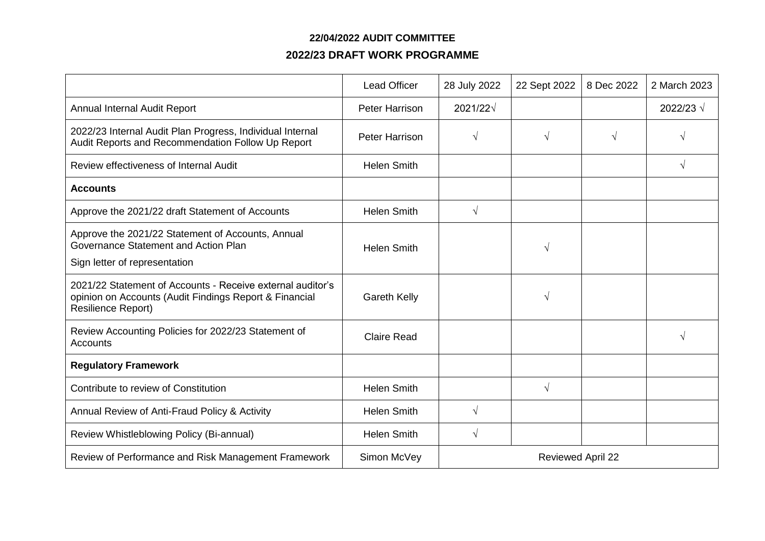### **22/04/2022 AUDIT COMMITTEE**

# **2022/23 DRAFT WORK PROGRAMME**

|                                                                                                                                                   | <b>Lead Officer</b>   | 28 July 2022             | 22 Sept 2022 | 8 Dec 2022 | 2 March 2023       |  |
|---------------------------------------------------------------------------------------------------------------------------------------------------|-----------------------|--------------------------|--------------|------------|--------------------|--|
| Annual Internal Audit Report                                                                                                                      | <b>Peter Harrison</b> | $2021/22\sqrt{ }$        |              |            | 2022/23 $\sqrt{ }$ |  |
| 2022/23 Internal Audit Plan Progress, Individual Internal<br>Audit Reports and Recommendation Follow Up Report                                    | <b>Peter Harrison</b> | $\sqrt{ }$               | $\sqrt{ }$   | $\sqrt{ }$ | $\sqrt{}$          |  |
| Review effectiveness of Internal Audit                                                                                                            | <b>Helen Smith</b>    |                          |              |            | $\sqrt{ }$         |  |
| <b>Accounts</b>                                                                                                                                   |                       |                          |              |            |                    |  |
| Approve the 2021/22 draft Statement of Accounts                                                                                                   | <b>Helen Smith</b>    | $\sqrt{}$                |              |            |                    |  |
| Approve the 2021/22 Statement of Accounts, Annual<br>Governance Statement and Action Plan<br>Sign letter of representation                        | <b>Helen Smith</b>    |                          | V            |            |                    |  |
| 2021/22 Statement of Accounts - Receive external auditor's<br>opinion on Accounts (Audit Findings Report & Financial<br><b>Resilience Report)</b> | <b>Gareth Kelly</b>   |                          | V            |            |                    |  |
| Review Accounting Policies for 2022/23 Statement of<br>Accounts                                                                                   | <b>Claire Read</b>    |                          |              |            | $\sqrt{ }$         |  |
| <b>Regulatory Framework</b>                                                                                                                       |                       |                          |              |            |                    |  |
| Contribute to review of Constitution                                                                                                              | <b>Helen Smith</b>    |                          | $\sqrt{ }$   |            |                    |  |
| Annual Review of Anti-Fraud Policy & Activity                                                                                                     | <b>Helen Smith</b>    | $\sqrt{ }$               |              |            |                    |  |
| Review Whistleblowing Policy (Bi-annual)                                                                                                          | <b>Helen Smith</b>    | $\sqrt{ }$               |              |            |                    |  |
| Review of Performance and Risk Management Framework                                                                                               | Simon McVey           | <b>Reviewed April 22</b> |              |            |                    |  |